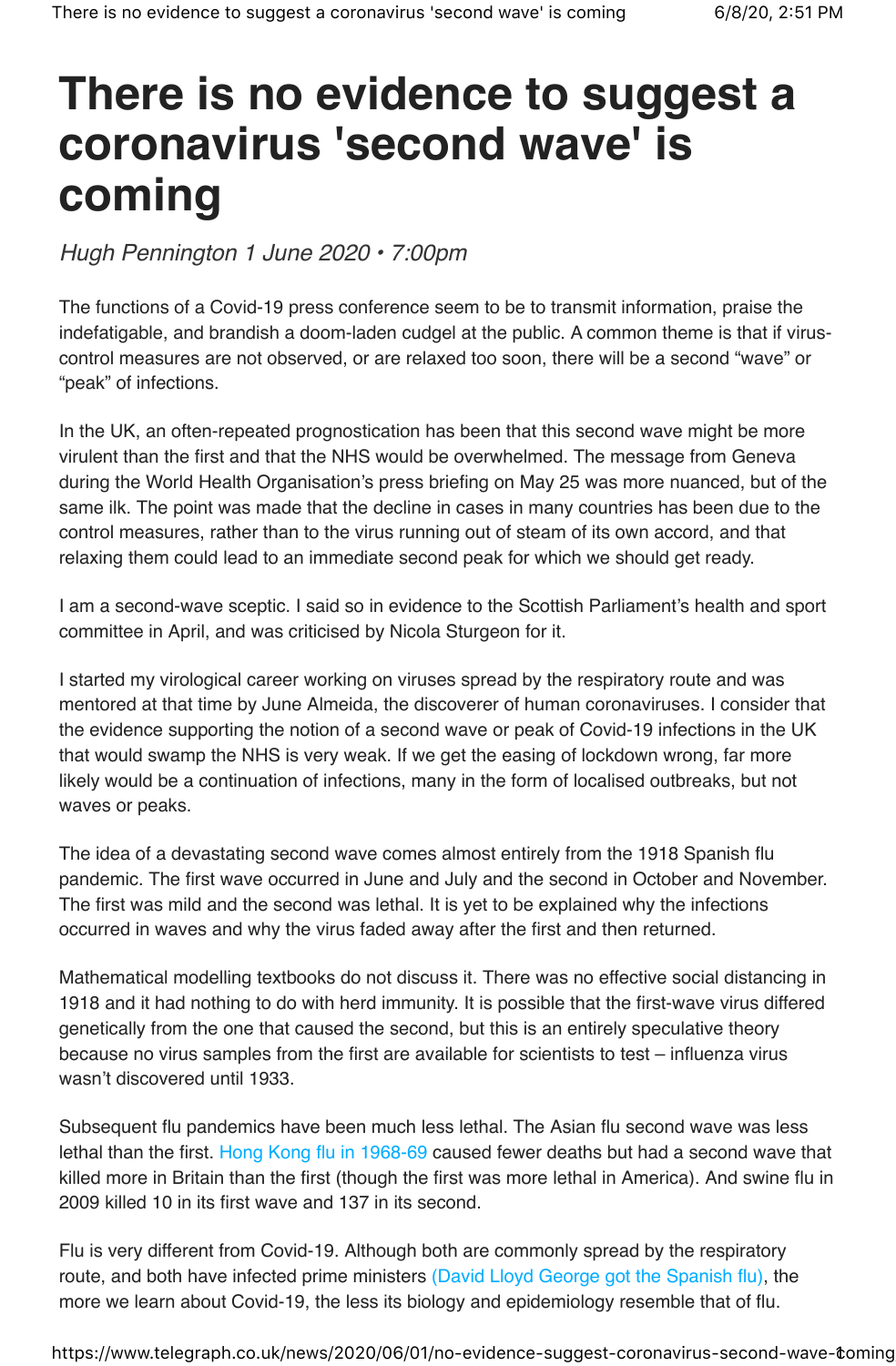## **There is no evidence to suggest a coronavirus 'second wave' is coming**

*Hugh Pennington 1 June 2020 • 7:00pm*

The functions of a Covid-19 press conference seem to be to transmit information, praise the indefatigable, and brandish a doom-laden cudgel at the public. A common theme is that if viruscontrol measures are not observed, or are relaxed too soon, there will be a second "wave" or "peak" of infections.

In the UK, an often-repeated prognostication has been that this second wave might be more virulent than the first and that the NHS would be overwhelmed. The message from Geneva during the World Health Organisation's press briefing on May 25 was more nuanced, but of the same ilk. The point was made that the decline in cases in many countries has been due to the control measures, rather than to the virus running out of steam of its own accord, and that relaxing them could lead to an immediate second peak for which we should get ready.

I am a second-wave sceptic. I said so in evidence to the Scottish Parliament's health and sport committee in April, and was criticised by Nicola Sturgeon for it.

I started my virological career working on viruses spread by the respiratory route and was mentored at that time by June Almeida, the discoverer of human coronaviruses. I consider that the evidence supporting the notion of a second wave or peak of Covid-19 infections in the UK that would swamp the NHS is very weak. If we get the easing of lockdown wrong, far more likely would be a continuation of infections, many in the form of localised outbreaks, but not waves or peaks.

The idea of a devastating second wave comes almost entirely from the 1918 Spanish flu pandemic. The first wave occurred in June and July and the second in October and November. The first was mild and the second was lethal. It is yet to be explained why the infections occurred in waves and why the virus faded away after the first and then returned.

Mathematical modelling textbooks do not discuss it. There was no effective social distancing in 1918 and it had nothing to do with herd immunity. It is possible that the first-wave virus differed genetically from the one that caused the second, but this is an entirely speculative theory because no virus samples from the first are available for scientists to test – influenza virus wasn't discovered until 1933.

Subsequent flu pandemics have been much less lethal. The Asian flu second wave was less lethal than the first. Hong Kong flu in 1968-69 caused fewer deaths but had a second wave that killed more in Britain than the first (though the first was more lethal in America). And swine flu in 2009 killed 10 in its first wave and 137 in its second.

Flu is very different from Covid-19. Although both are commonly spread by the respiratory route, and both have infected prime ministers (David Lloyd George got the Spanish flu), the more we learn about Covid-19, the less its biology and epidemiology resemble that of flu.

https://www.telegraph.co.uk/news/2020/06/01/no-evidence-suggest-coronavirus-second-wave-&oming